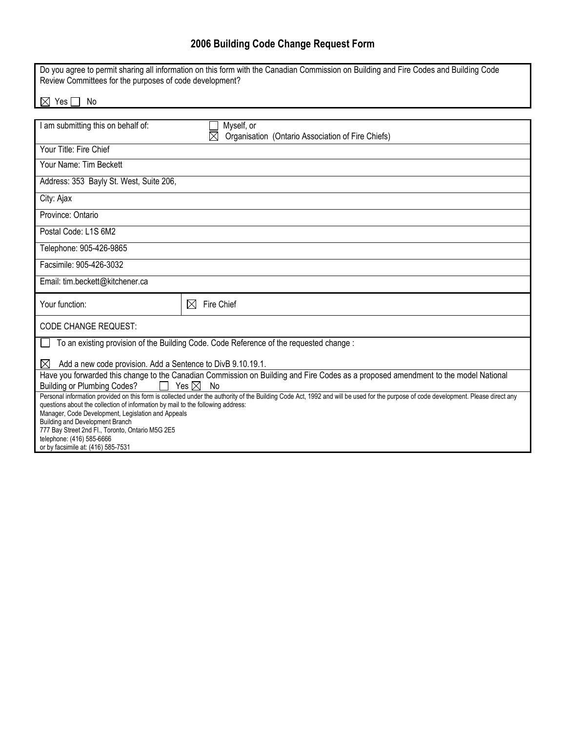## **2006 Building Code Change Request Form**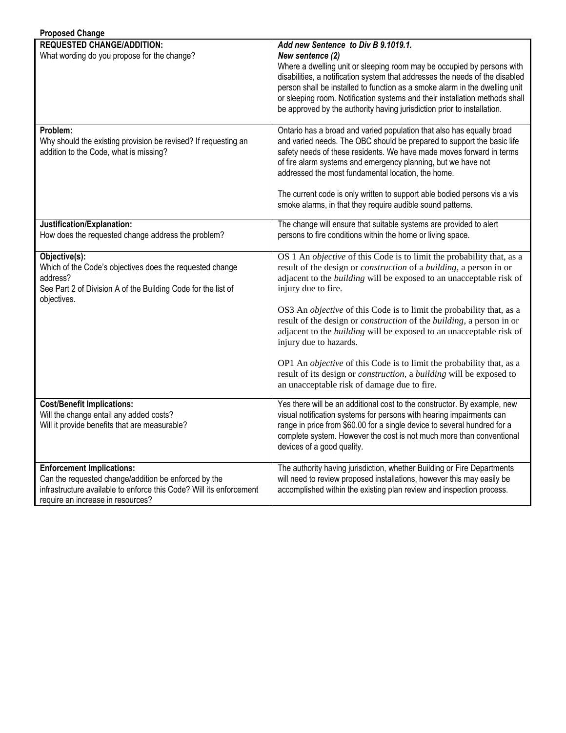| <b>Proposed Change</b>                                                                                                                                                                               |                                                                                                                                                                                                                                                                                                                                                                                                                                                                                                                                                      |
|------------------------------------------------------------------------------------------------------------------------------------------------------------------------------------------------------|------------------------------------------------------------------------------------------------------------------------------------------------------------------------------------------------------------------------------------------------------------------------------------------------------------------------------------------------------------------------------------------------------------------------------------------------------------------------------------------------------------------------------------------------------|
| <b>REQUESTED CHANGE/ADDITION:</b><br>What wording do you propose for the change?                                                                                                                     | Add new Sentence to Div B 9.1019.1.<br>New sentence (2)<br>Where a dwelling unit or sleeping room may be occupied by persons with<br>disabilities, a notification system that addresses the needs of the disabled<br>person shall be installed to function as a smoke alarm in the dwelling unit<br>or sleeping room. Notification systems and their installation methods shall<br>be approved by the authority having jurisdiction prior to installation.                                                                                           |
| Problem:<br>Why should the existing provision be revised? If requesting an<br>addition to the Code, what is missing?                                                                                 | Ontario has a broad and varied population that also has equally broad<br>and varied needs. The OBC should be prepared to support the basic life<br>safety needs of these residents. We have made moves forward in terms<br>of fire alarm systems and emergency planning, but we have not<br>addressed the most fundamental location, the home.<br>The current code is only written to support able bodied persons vis a vis<br>smoke alarms, in that they require audible sound patterns.                                                            |
| Justification/Explanation:<br>How does the requested change address the problem?                                                                                                                     | The change will ensure that suitable systems are provided to alert<br>persons to fire conditions within the home or living space.                                                                                                                                                                                                                                                                                                                                                                                                                    |
| Objective(s):<br>Which of the Code's objectives does the requested change<br>address?<br>See Part 2 of Division A of the Building Code for the list of<br>objectives.                                | OS 1 An <i>objective</i> of this Code is to limit the probability that, as a<br>result of the design or <i>construction</i> of a <i>building</i> , a person in or<br>adjacent to the <i>building</i> will be exposed to an unacceptable risk of<br>injury due to fire.<br>OS3 An <i>objective</i> of this Code is to limit the probability that, as a<br>result of the design or <i>construction</i> of the <i>building</i> , a person in or<br>adjacent to the <i>building</i> will be exposed to an unacceptable risk of<br>injury due to hazards. |
|                                                                                                                                                                                                      | OP1 An objective of this Code is to limit the probability that, as a<br>result of its design or <i>construction</i> , a <i>building</i> will be exposed to<br>an unacceptable risk of damage due to fire.                                                                                                                                                                                                                                                                                                                                            |
| <b>Cost/Benefit Implications:</b><br>Will the change entail any added costs?<br>Will it provide benefits that are measurable?                                                                        | Yes there will be an additional cost to the constructor. By example, new<br>visual notification systems for persons with hearing impairments can<br>range in price from \$60.00 for a single device to several hundred for a<br>complete system. However the cost is not much more than conventional<br>devices of a good quality.                                                                                                                                                                                                                   |
| <b>Enforcement Implications:</b><br>Can the requested change/addition be enforced by the<br>infrastructure available to enforce this Code? Will its enforcement<br>require an increase in resources? | The authority having jurisdiction, whether Building or Fire Departments<br>will need to review proposed installations, however this may easily be<br>accomplished within the existing plan review and inspection process.                                                                                                                                                                                                                                                                                                                            |